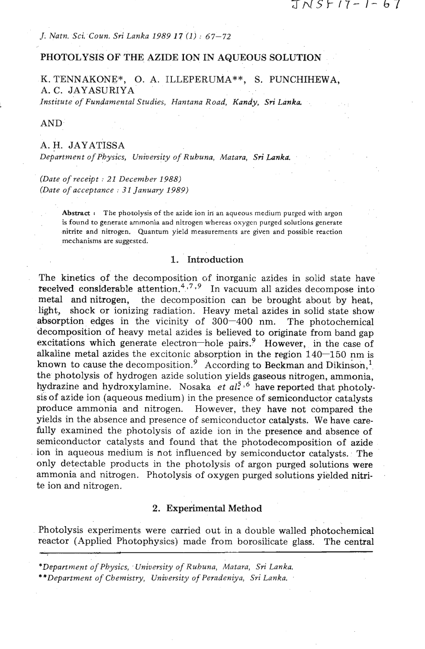*J. Natn. Sci. Coun. Sri Lanka 1989 17* **(1)** : 67-72

### **PHOTOLYSIS OF** THE AZIDE **ION IN AQUEOUS SOLUTION**

K. TENNAKONE\*, **0.** A. ILLEPERUMA\*\*, S. PUNCHIHEWA, A. C. JAYASURIYA

*Institute of Fundamental Studies, Hantana Road, Kandy, Sri Lanka* 

AND.'

## A. H. JAYATISSA

*Department of Physics, University of Ruhuna, Matara, Sri Lanka.* 

*(Date of receipt* : *21 December 1988) (Date of acceptance* : *31 January 1989)* 

> Abstract : The photolysis of the azide ion in an aqueous medium purged with argon **is found to generate ammonia and nitrogen whereas oxygcn purged solutions generate nitrite and nitrogen. Quantum yield measurements are given and possible reaction mechanisms are suggested.**

# 1. Introduction

The kinetics of the decomposition of inorganic azides in solid state have received considerable attention.<sup>4,7,9</sup> In vacuum all azides decompose into metal and nitrogen, the decomposition can be brought about by heat, light, shock or ionizing radiation. Heavy metal azides in solid state show absorption edges in the vicinity of  $300-400$  nm. The photochemical decomposition of heavy metal azides is believed to originate from band gap excitations which generate electron-hole pairs.<sup>9</sup> However, in the case of alkaline metal azides the excitonic absorption in the region  $140-150$  nm is known to cause the decomposition.<sup>9</sup> According to Beckman and Dikinson,<sup>1</sup> the photolysis of hydrogen azide solution yields gaseous nitrogen, ammonia, hydrazine and hydroxylamine. Nosaka *et al*<sup>5,6</sup> have reported that photolysis of azide ion (aqueous medium) in the presence of semiconductor catalysts produce ammonia and nitrogen. However, they have not compared the yields in the absence and presence of semiconductor catalysts. We have carefully examined the photolysis of azide ion in the presence and absence of semiconductor catalysts and found that the photodecomposition of azide ion in aqueous medium is not influenced by semiconductor catalysts. The only detectable products in the photolysis of argon purged solutions were ammonia and nitrogen. Photolysis of oxygen purged solutions yielded nitrite ion and nitrogen.

## 2. Experimental Method

Photolysis experiments were carried out in a double walled photochemical reactor (Applied Photophysics) made from borosilicate glass. The central

*\*\*Department of Chemistry, University of Peradeniya,* **Sri** *Lanka.* 

*<sup>\*</sup>Department of Physics, .University of Ruhuna, Matara, Sri Lanka.*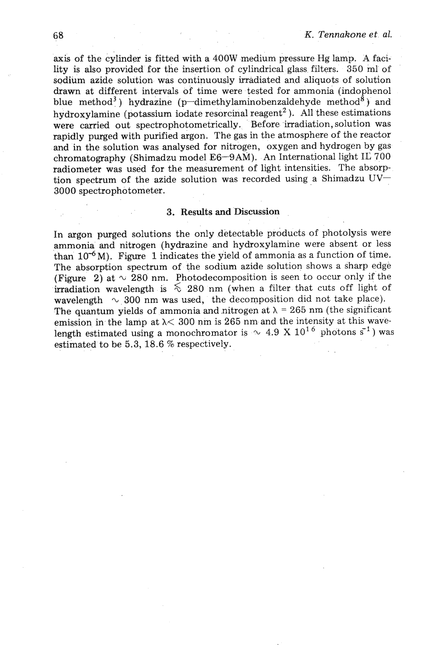**axis** of the cylinder is fitted with a 400W medium pressure Hg lamp. **A** facility is also provided for the insertion of cylindrical glass filters. 350 ml of sodium azide solution was continuously irradiated and aliquots of solution drawn at different intervals of time were tested for ammonia (indophenol blue method<sup>3</sup>) hydrazine (p-dimethylaminobenzaldehyde method<sup>8</sup> + and hydroxylamine (potassium iodate resorcinal reagent<sup>2</sup>). All these estimations were carried out spectrophotometrically. Before irradiation, solution was rapidly purged with purified argon. The gas in the atmosphere of the reactor and in the solution was analysed for nitrogen, oxygen and hydrogen by gas chromatography (Shimadzu model E6-9AM). An International light IL 700 radiometer was used for the measurement of light intensities. The absorption spectrum of the azide solution was recorded using a Shimadzu  $UV-$ 3000 spectrophotometer.

## **3.** Results and Discussion

In argon purged solutions the only detectable products of photolysis were ammonia and nitrogen (hydrazine and hydroxylamine were absent or less than  $10^{-6}$ M). Figure 1 indicates the yield of ammonia as a function of time. The absorption spectrum of the sodium azide solution shows a sharp edge (Figure 2) at  $\sim$  280 nm. Photodecomposition is seen to occur only if the irradiation wavelength is  $\&$  280 nm (when a filter that cuts off light of wavelength  $\sim$  300 nm was used, the decomposition did not take place). The quantum yields of ammonia and nitrogen at  $\lambda = 265$  nm (the significant emission in the lamp at  $\lambda$ < 300 nm is 265 nm and the intensity at this wavelength estimated using a monochromator is  $\sim$  4.9 X 10<sup>16</sup> photons s<sup>1</sup>) was estimated to be 5.3, 18.6 % respectively.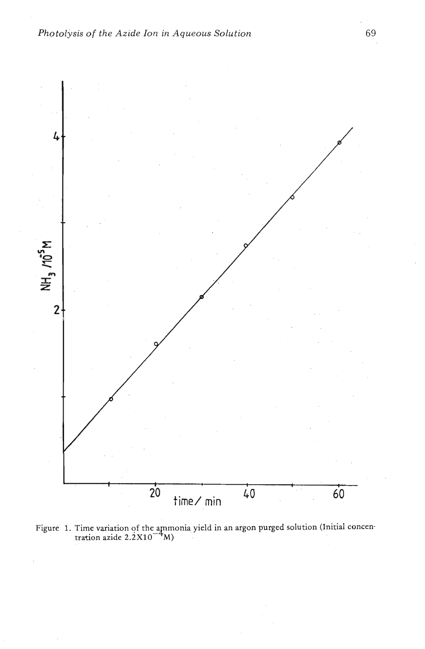

Figure 1. Time variation of the ammonia yield in an argon purged solution (Initial concentration azide  $2.2 \times 10^{-4}$  M)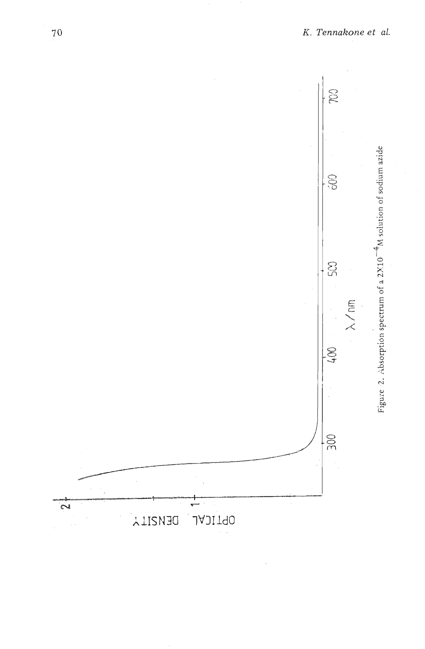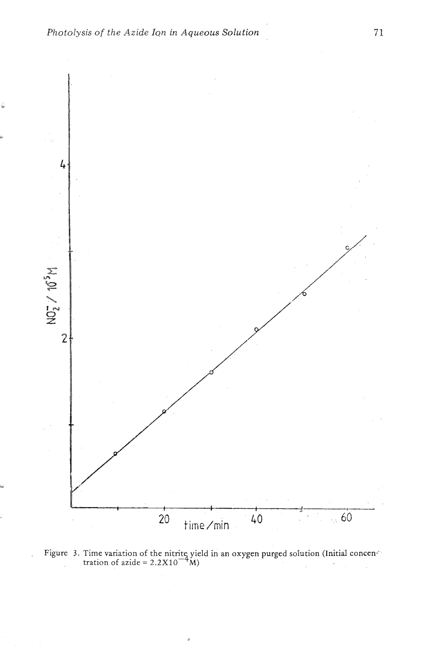

Figure 3. Time variation of the nitrite yield in an oxygen purged solution (Initial concen-<sup>-</sup> tration of azide =  $2.2 \times 10^{-4}$  M)